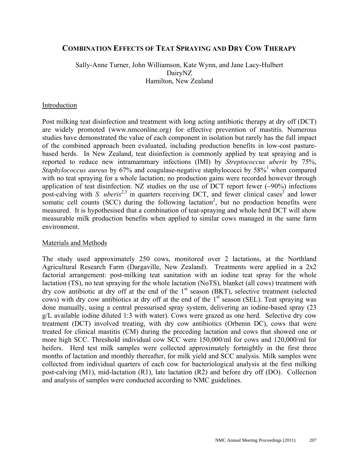# **COMBINATION EFFECTS OF TEAT SPRAYING AND DRY COW THERAPY**

Sally-Anne Turner, John Williamson, Kate Wynn, and Jane Lacy-Hulbert DairyNZ Hamilton, New Zealand

### Introduction

Post milking teat disinfection and treatment with long acting antibiotic therapy at dry off (DCT) are widely promoted (www.nmconline.org) for effective prevention of mastitis. Numerous studies have demonstrated the value of each component in isolation but rarely has the full impact of the combined approach been evaluated, including production benefits in low-cost pasturebased herds. In New Zealand, teat disinfection is commonly applied by teat spraying and is reported to reduce new intramammary infections (IMI) by *Streptococcus uberis* by 75%, Staphylococcus aureus by 67% and coagulase-negative staphylococci by 58%<sup>1</sup> when compared with no teat spraying for a whole lactation; no production gains were recorded however through application of teat disinfection. NZ studies on the use of DCT report fewer  $(\sim)0\%$  infections post-calving with *S. uberis*<sup>2,3</sup> in quarters receiving DCT, and fewer clinical cases<sup>2</sup> and lower somatic cell counts (SCC) during the following lactation<sup>2</sup>, but no production benefits were measured. It is hypothesised that a combination of teat-spraying and whole herd DCT will show measurable milk production benefits when applied to similar cows managed in the same farm environment.

### Materials and Methods

The study used approximately 250 cows, monitored over 2 lactations, at the Northland Agricultural Research Farm (Dargaville, New Zealand). Treatments were applied in a 2x2 factorial arrangement: post-milking teat sanitation with an iodine teat spray for the whole lactation (TS), no teat spraying for the whole lactation (NoTS), blanket (all cows) treatment with dry cow antibiotic at dry off at the end of the 1<sup>st</sup> season (BKT), selective treatment (selected cows) with dry cow antibiotics at dry off at the end of the  $1<sup>st</sup>$  season (SEL). Teat spraying was done manually, using a central pressurised spray system, delivering an iodine-based spray (23 g/L available iodine diluted 1:3 with water). Cows were grazed as one herd. Selective dry cow treatment (DCT) involved treating, with dry cow antibiotics (Orbenin DC), cows that were treated for clinical mastitis (CM) during the preceding lactation and cows that showed one or more high SCC. Threshold individual cow SCC were 150,000/ml for cows and 120,000/ml for heifers. Herd test milk samples were collected approximately fortnightly in the first three months of lactation and monthly thereafter, for milk yield and SCC analysis. Milk samples were collected from individual quarters of each cow for bacteriological analysis at the first milking post-calving (M1), mid-lactation (R1), late lactation (R2) and before dry off (DO). Collection and analysis of samples were conducted according to NMC guidelines.